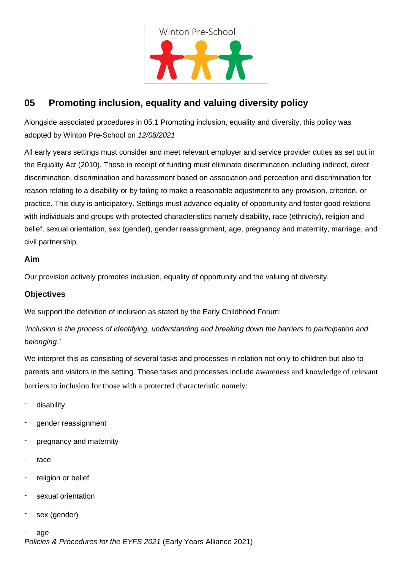

## **05 Promoting inclusion, equality and valuing diversity policy**

Alongside associated procedures in 05.1 Promoting inclusion, equality and diversity, this policy was adopted by Winton Pre-School on *12/08/2021*

All early years settings must consider and meet relevant employer and service provider duties as set out in the Equality Act (2010). Those in receipt of funding must eliminate discrimination including indirect, direct discrimination, discrimination and harassment based on association and perception and discrimination for reason relating to a disability or by failing to make a reasonable adjustment to any provision, criterion, or practice. This duty is anticipatory. Settings must advance equality of opportunity and foster good relations with individuals and groups with protected characteristics namely disability, race (ethnicity), religion and belief, sexual orientation, sex (gender), gender reassignment, age, pregnancy and maternity, marriage, and civil partnership.

## **Aim**

Our provision actively promotes inclusion, equality of opportunity and the valuing of diversity.

## **Objectives**

We support the definition of inclusion as stated by the Early Childhood Forum:

'*Inclusion is the process of identifying, understanding and breaking down the barriers to participation and belonging.'*

We interpret this as consisting of several tasks and processes in relation not only to children but also to parents and visitors in the setting. These tasks and processes include awareness and knowledge of relevant barriers to inclusion for those with a protected characteristic namely:

- disability
- gender reassignment
- pregnancy and maternity
- race
- religion or belief
- sexual orientation
- sex (gender)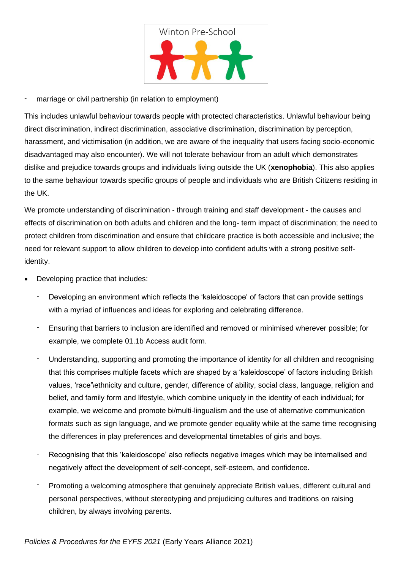

marriage or civil partnership (in relation to employment)

This includes unlawful behaviour towards people with protected characteristics. Unlawful behaviour being direct discrimination, indirect discrimination, associative discrimination, discrimination by perception, harassment, and victimisation (in addition, we are aware of the inequality that users facing socio-economic disadvantaged may also encounter). We will not tolerate behaviour from an adult which demonstrates dislike and prejudice towards groups and individuals living outside the UK (**xenophobia**). This also applies to the same behaviour towards specific groups of people and individuals who are British Citizens residing in the UK.

We promote understanding of discrimination - through training and staff development - the causes and effects of discrimination on both adults and children and the long- term impact of discrimination; the need to protect children from discrimination and ensure that childcare practice is both accessible and inclusive; the need for relevant support to allow children to develop into confident adults with a strong positive selfidentity.

- Developing practice that includes:
	- Developing an environment which reflects the 'kaleidoscope' of factors that can provide settings with a myriad of influences and ideas for exploring and celebrating difference.
	- Ensuring that barriers to inclusion are identified and removed or minimised wherever possible; for example, we complete 01.1b Access audit form.
	- Understanding, supporting and promoting the importance of identity for all children and recognising that this comprises multiple facets which are shaped by a 'kaleidoscope' of factors including British values, 'race'\ethnicity and culture, gender, difference of ability, social class, language, religion and belief, and family form and lifestyle, which combine uniquely in the identity of each individual; for example, we welcome and promote bi/multi-lingualism and the use of alternative communication formats such as sign language, and we promote gender equality while at the same time recognising the differences in play preferences and developmental timetables of girls and boys.
	- Recognising that this 'kaleidoscope' also reflects negative images which may be internalised and negatively affect the development of self-concept, self-esteem, and confidence.
	- Promoting a welcoming atmosphere that genuinely appreciate British values, different cultural and personal perspectives, without stereotyping and prejudicing cultures and traditions on raising children, by always involving parents.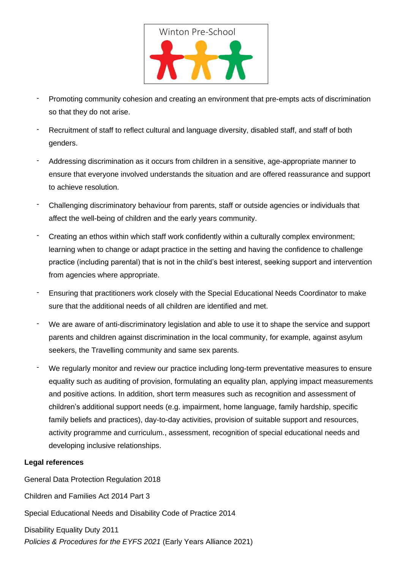

- Promoting community cohesion and creating an environment that pre-empts acts of discrimination so that they do not arise.
- Recruitment of staff to reflect cultural and language diversity, disabled staff, and staff of both genders.
- Addressing discrimination as it occurs from children in a sensitive, age-appropriate manner to ensure that everyone involved understands the situation and are offered reassurance and support to achieve resolution.
- Challenging discriminatory behaviour from parents, staff or outside agencies or individuals that affect the well-being of children and the early years community.
- Creating an ethos within which staff work confidently within a culturally complex environment; learning when to change or adapt practice in the setting and having the confidence to challenge practice (including parental) that is not in the child's best interest, seeking support and intervention from agencies where appropriate.
- Ensuring that practitioners work closely with the Special Educational Needs Coordinator to make sure that the additional needs of all children are identified and met.
- We are aware of anti-discriminatory legislation and able to use it to shape the service and support parents and children against discrimination in the local community, for example, against asylum seekers, the Travelling community and same sex parents.
- We regularly monitor and review our practice including long-term preventative measures to ensure equality such as auditing of provision, formulating an equality plan, applying impact measurements and positive actions. In addition, short term measures such as recognition and assessment of children's additional support needs (e.g. impairment, home language, family hardship, specific family beliefs and practices), day-to-day activities, provision of suitable support and resources, activity programme and curriculum., assessment, recognition of special educational needs and developing inclusive relationships.

## **Legal references**

General Data Protection Regulation 2018

Children and Families Act 2014 Part 3

Special Educational Needs and Disability Code of Practice 2014

Disability Equality Duty 2011

*Policies & Procedures for the EYFS 2021* (Early Years Alliance 2021)